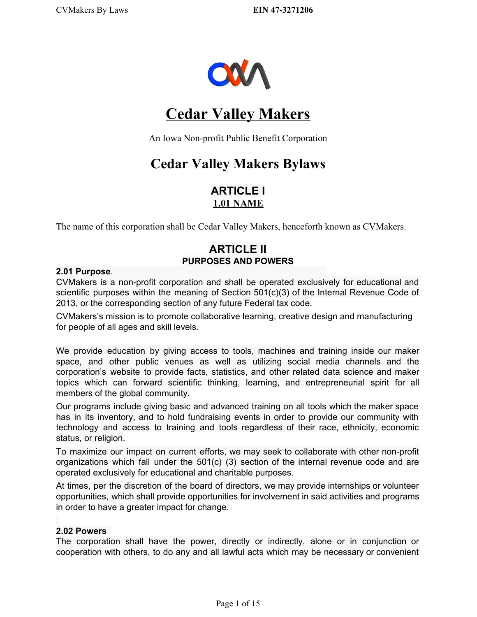

# **Cedar Valley Makers**

An Iowa Non-profit Public Benefit Corporation

# **Cedar Valley Makers Bylaws**

# **ARTICLE I 1.01 NAME**

The name of this corporation shall be Cedar Valley Makers, henceforth known as CVMakers.

# **ARTICLE II PURPOSES AND POWERS**

#### **2.01 Purpose**.

CVMakers is a non-profit corporation and shall be operated exclusively for educational and scientific purposes within the meaning of Section  $501(c)(3)$  of the Internal Revenue Code of 2013, or the corresponding section of any future Federal tax code.

CVMakers's mission is to promote collaborative learning, creative design and manufacturing for people of all ages and skill levels.

We provide education by giving access to tools, machines and training inside our maker space, and other public venues as well as utilizing social media channels and the corporation's website to provide facts, statistics, and other related data science and maker topics which can forward scientific thinking, learning, and entrepreneurial spirit for all members of the global community.

Our programs include giving basic and advanced training on all tools which the maker space has in its inventory, and to hold fundraising events in order to provide our community with technology and access to training and tools regardless of their race, ethnicity, economic status, or religion.

To maximize our impact on current efforts, we may seek to collaborate with other non-profit organizations which fall under the  $501(c)$  (3) section of the internal revenue code and are operated exclusively for educational and charitable purposes.

At times, per the discretion of the board of directors, we may provide internships or volunteer opportunities, which shall provide opportunities for involvement in said activities and programs in order to have a greater impact for change.

#### **2.02 Powers**

The corporation shall have the power, directly or indirectly, alone or in conjunction or cooperation with others, to do any and all lawful acts which may be necessary or convenient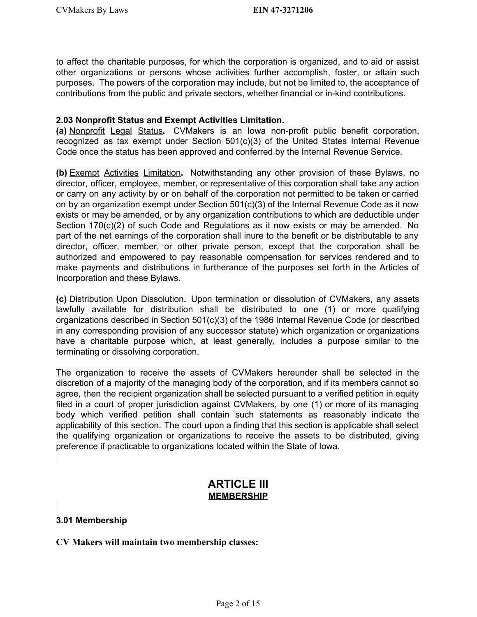to affect the charitable purposes, for which the corporation is organized, and to aid or assist other organizations or persons whose activities further accomplish, foster, or attain such purposes. The powers of the corporation may include, but not be limited to, the acceptance of contributions from the public and private sectors, whether financial or in-kind contributions.

#### **2.03 Nonprofit Status and Exempt Activities Limitation.**

**(a)** Nonprofit Legal Status. CVMakers is an Iowa non-profit public benefit corporation, recognized as tax exempt under Section 501(c)(3) of the United States Internal Revenue Code once the status has been approved and conferred by the Internal Revenue Service.

**(b)** Exempt Activities Limitation**.**Notwithstanding any other provision of these Bylaws, no director, officer, employee, member, or representative of this corporation shall take any action or carry on any activity by or on behalf of the corporation not permitted to be taken or carried on by an organization exempt under Section 501(c)(3) of the Internal Revenue Code as it now exists or may be amended, or by any organization contributions to which are deductible under Section 170(c)(2) of such Code and Regulations as it now exists or may be amended. No part of the net earnings of the corporation shall inure to the benefit or be distributable to any director, officer, member, or other private person, except that the corporation shall be authorized and empowered to pay reasonable compensation for services rendered and to make payments and distributions in furtherance of the purposes set forth in the Articles of Incorporation and these Bylaws.

**(c)** Distribution Upon Dissolution**.**Upon termination or dissolution of CVMakers, any assets lawfully available for distribution shall be distributed to one (1) or more qualifying organizations described in Section 501(c)(3) of the 1986 Internal Revenue Code (or described in any corresponding provision of any successor statute) which organization or organizations have a charitable purpose which, at least generally, includes a purpose similar to the terminating or dissolving corporation.

The organization to receive the assets of CVMakers hereunder shall be selected in the discretion of a majority of the managing body of the corporation, and if its members cannot so agree, then the recipient organization shall be selected pursuant to a verified petition in equity filed in a court of proper jurisdiction against CVMakers, by one (1) or more of its managing body which verified petition shall contain such statements as reasonably indicate the applicability of this section. The court upon a finding that this section is applicable shall select the qualifying organization or organizations to receive the assets to be distributed, giving preference if practicable to organizations located within the State of Iowa.

# **ARTICLE III MEMBERSHIP**

#### **3.01 Membership**

#### **CV Makers will maintain two membership classes:**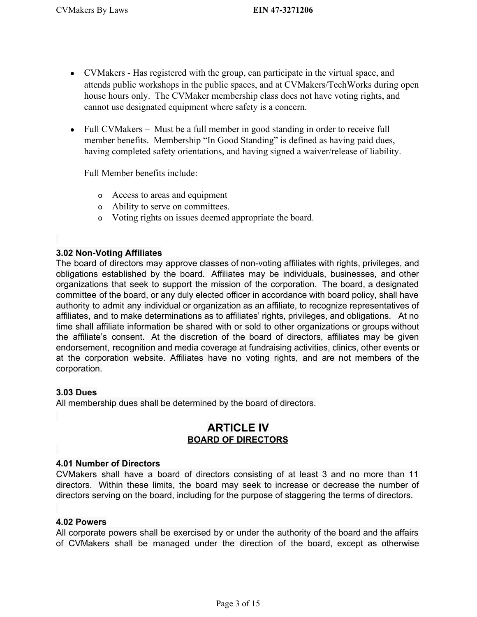- CVMakers Has registered with the group, can participate in the virtual space, and attends public workshops in the public spaces, and at CVMakers/TechWorks during open house hours only. The CVMaker membership class does not have voting rights, and cannot use designated equipment where safety is a concern.
- Full CVMakers Must be a full member in good standing in order to receive full member benefits. Membership "In Good Standing" is defined as having paid dues, having completed safety orientations, and having signed a waiver/release of liability.

Full Member benefits include:

- o Access to areas and equipment
- o Ability to serve on committees.
- o Voting rights on issues deemed appropriate the board.

#### **3.02 NonVoting Affiliates**

The board of directors may approve classes of non-voting affiliates with rights, privileges, and obligations established by the board. Affiliates may be individuals, businesses, and other organizations that seek to support the mission of the corporation. The board, a designated committee of the board, or any duly elected officer in accordance with board policy, shall have authority to admit any individual or organization as an affiliate, to recognize representatives of affiliates, and to make determinations as to affiliates' rights, privileges, and obligations. At no time shall affiliate information be shared with or sold to other organizations or groups without the affiliate's consent. At the discretion of the board of directors, affiliates may be given endorsement, recognition and media coverage at fundraising activities, clinics, other events or at the corporation website. Affiliates have no voting rights, and are not members of the corporation.

#### **3.03 Dues**

All membership dues shall be determined by the board of directors.

## **ARTICLE IV BOARD OF DIRECTORS**

#### **4.01 Number of Directors**

CVMakers shall have a board of directors consisting of at least 3 and no more than 11 directors. Within these limits, the board may seek to increase or decrease the number of directors serving on the board, including for the purpose of staggering the terms of directors.

#### **4.02 Powers**

All corporate powers shall be exercised by or under the authority of the board and the affairs of CVMakers shall be managed under the direction of the board, except as otherwise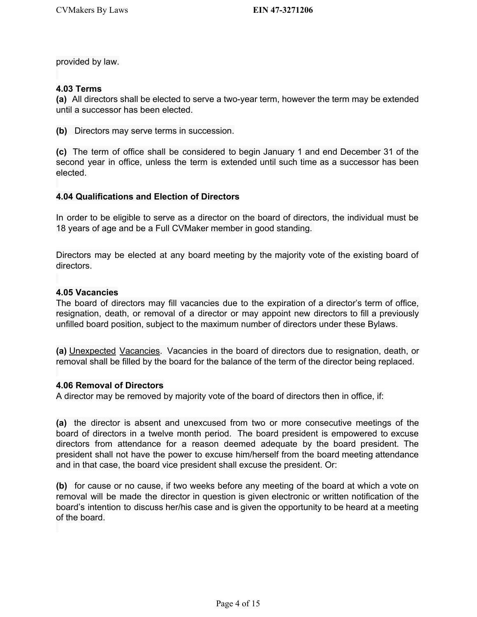provided by law.

#### **4.03 Terms**

**(a)** All directors shall be elected to serve a two-year term, however the term may be extended until a successor has been elected.

**(b)** Directors may serve terms in succession.

**(c)**The term of office shall be considered to begin January 1 and end December 31 of the second year in office, unless the term is extended until such time as a successor has been elected.

#### **4.04 Qualifications and Election of Directors**

In order to be eligible to serve as a director on the board of directors, the individual must be 18 years of age and be a Full CVMaker member in good standing.

Directors may be elected at any board meeting by the majority vote of the existing board of directors.

#### **4.05 Vacancies**

The board of directors may fill vacancies due to the expiration of a director's term of office, resignation, death, or removal of a director or may appoint new directors to fill a previously unfilled board position, subject to the maximum number of directors under these Bylaws.

**(a)** Unexpected Vacancies. Vacancies in the board of directors due to resignation, death, or removal shall be filled by the board for the balance of the term of the director being replaced.

#### **4.06 Removal of Directors**

A director may be removed by majority vote of the board of directors then in office, if:

**(a)** the director is absent and unexcused from two or more consecutive meetings of the board of directors in a twelve month period. The board president is empowered to excuse directors from attendance for a reason deemed adequate by the board president. The president shall not have the power to excuse him/herself from the board meeting attendance and in that case, the board vice president shall excuse the president. Or:

**(b)** for cause or no cause, if two weeks before any meeting of the board at which a vote on removal will be made the director in question is given electronic or written notification of the board's intention to discuss her/his case and is given the opportunity to be heard at a meeting of the board.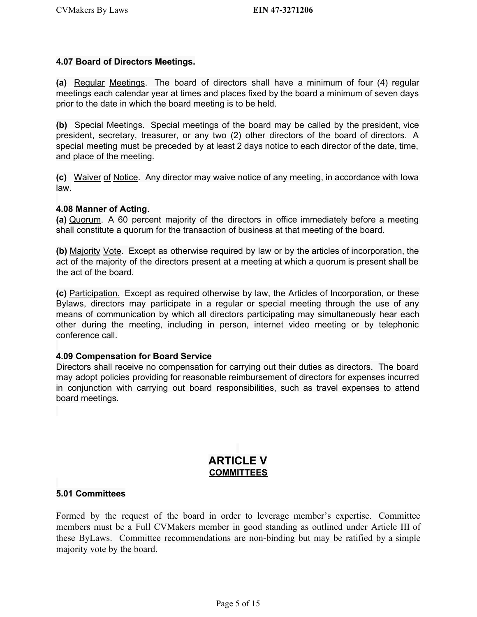#### **4.07 Board of Directors Meetings.**

**(a)** Regular Meetings. The board of directors shall have a minimum of four (4) regular meetings each calendar year at times and places fixed by the board a minimum of seven days prior to the date in which the board meeting is to be held.

**(b)** Special Meetings. Special meetings of the board may be called by the president, vice president, secretary, treasurer, or any two (2) other directors of the board of directors. A special meeting must be preceded by at least 2 days notice to each director of the date, time, and place of the meeting.

**(c)** Waiver of Notice. Any director may waive notice of any meeting, in accordance with Iowa law.

#### **4.08 Manner of Acting**.

**(a)**Quorum. A 60 percent majority of the directors in office immediately before a meeting shall constitute a quorum for the transaction of business at that meeting of the board.

**(b)** Majority Vote. Except as otherwise required by law or by the articles of incorporation, the act of the majority of the directors present at a meeting at which a quorum is present shall be the act of the board.

**(c)**Participation. Except as required otherwise by law, the Articles of Incorporation, or these Bylaws, directors may participate in a regular or special meeting through the use of any means of communication by which all directors participating may simultaneously hear each other during the meeting, including in person, internet video meeting or by telephonic conference call.

#### **4.09 Compensation for Board Service**

Directors shall receive no compensation for carrying out their duties as directors. The board may adopt policies providing for reasonable reimbursement of directors for expenses incurred in conjunction with carrying out board responsibilities, such as travel expenses to attend board meetings.

> **ARTICLE V COMMITTEES**

#### **5.01 Committees**

Formed by the request of the board in order to leverage member's expertise. Committee members must be a Full CVMakers member in good standing as outlined under Article III of these ByLaws. Committee recommendations are non-binding but may be ratified by a simple majority vote by the board.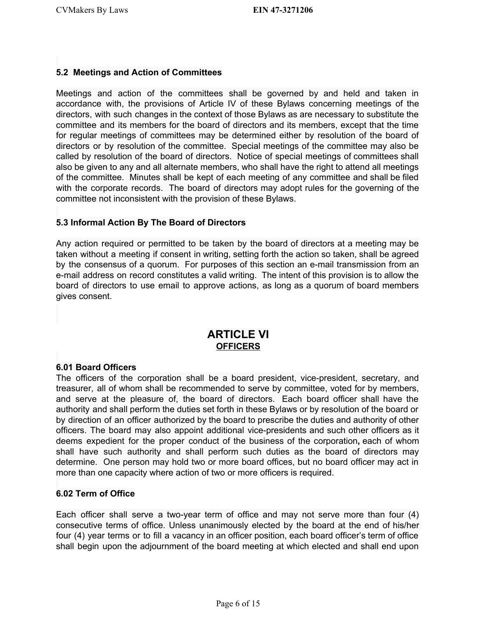### **5.2 Meetings and Action of Committees**

Meetings and action of the committees shall be governed by and held and taken in accordance with, the provisions of Article IV of these Bylaws concerning meetings of the directors, with such changes in the context of those Bylaws as are necessary to substitute the committee and its members for the board of directors and its members, except that the time for regular meetings of committees may be determined either by resolution of the board of directors or by resolution of the committee. Special meetings of the committee may also be called by resolution of the board of directors. Notice of special meetings of committees shall also be given to any and all alternate members, who shall have the right to attend all meetings of the committee. Minutes shall be kept of each meeting of any committee and shall be filed with the corporate records. The board of directors may adopt rules for the governing of the committee not inconsistent with the provision of these Bylaws.

#### **5.3 Informal Action By The Board of Directors**

Any action required or permitted to be taken by the board of directors at a meeting may be taken without a meeting if consent in writing, setting forth the action so taken, shall be agreed by the consensus of a quorum. For purposes of this section an e-mail transmission from an email address on record constitutes a valid writing. The intent of this provision is to allow the board of directors to use email to approve actions, as long as a quorum of board members gives consent.

# **ARTICLE VI OFFICERS**

#### **6.01 Board Officers**

The officers of the corporation shall be a board president, vice-president, secretary, and treasurer, all of whom shall be recommended to serve by committee, voted for by members, and serve at the pleasure of, the board of directors. Each board officer shall have the authority and shall perform the duties set forth in these Bylaws or by resolution of the board or by direction of an officer authorized by the board to prescribe the duties and authority of other officers. The board may also appoint additional vice-presidents and such other officers as it deems expedient for the proper conduct of the business of the corporation**,** each of whom shall have such authority and shall perform such duties as the board of directors may determine. One person may hold two or more board offices, but no board officer may act in more than one capacity where action of two or more officers is required.

#### **6.02 Term of Office**

Each officer shall serve a two-year term of office and may not serve more than four  $(4)$ consecutive terms of office. Unless unanimously elected by the board at the end of his/her four (4) year terms or to fill a vacancy in an officer position, each board officer's term of office shall begin upon the adjournment of the board meeting at which elected and shall end upon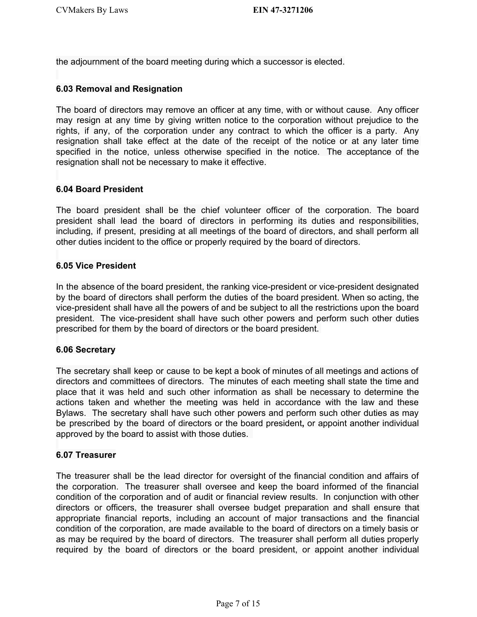the adjournment of the board meeting during which a successor is elected.

#### **6.03 Removal and Resignation**

The board of directors may remove an officer at any time, with or without cause. Any officer may resign at any time by giving written notice to the corporation without prejudice to the rights, if any, of the corporation under any contract to which the officer is a party. Any resignation shall take effect at the date of the receipt of the notice or at any later time specified in the notice, unless otherwise specified in the notice. The acceptance of the resignation shall not be necessary to make it effective.

#### **6.04 Board President**

The board president shall be the chief volunteer officer of the corporation. The board president shall lead the board of directors in performing its duties and responsibilities, including, if present, presiding at all meetings of the board of directors, and shall perform all other duties incident to the office or properly required by the board of directors.

#### **6.05 Vice President**

In the absence of the board president, the ranking vice-president or vice-president designated by the board of directors shall perform the duties of the board president. When so acting, the vice-president shall have all the powers of and be subject to all the restrictions upon the board president. The vice-president shall have such other powers and perform such other duties prescribed for them by the board of directors or the board president.

#### **6.06 Secretary**

The secretary shall keep or cause to be kept a book of minutes of all meetings and actions of directors and committees of directors. The minutes of each meeting shall state the time and place that it was held and such other information as shall be necessary to determine the actions taken and whether the meeting was held in accordance with the law and these Bylaws. The secretary shall have such other powers and perform such other duties as may be prescribed by the board of directors or the board president**,** or appoint another individual approved by the board to assist with those duties.

#### **6.07 Treasurer**

The treasurer shall be the lead director for oversight of the financial condition and affairs of the corporation. The treasurer shall oversee and keep the board informed of the financial condition of the corporation and of audit or financial review results. In conjunction with other directors or officers, the treasurer shall oversee budget preparation and shall ensure that appropriate financial reports, including an account of major transactions and the financial condition of the corporation, are made available to the board of directors on a timely basis or as may be required by the board of directors. The treasurer shall perform all duties properly required by the board of directors or the board president, or appoint another individual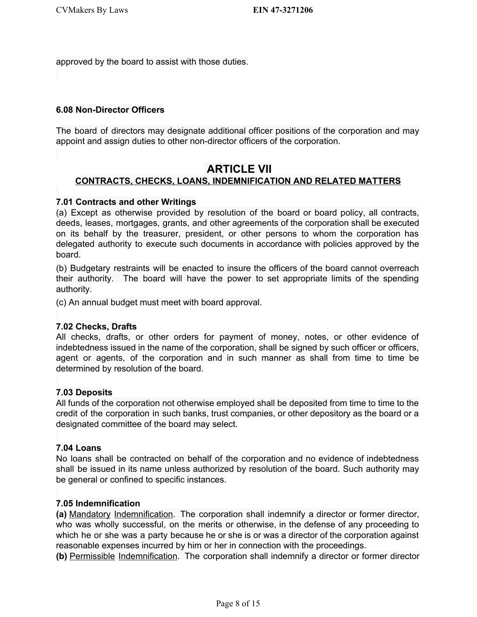approved by the board to assist with those duties.

#### **6.08 Non-Director Officers**

The board of directors may designate additional officer positions of the corporation and may appoint and assign duties to other non-director officers of the corporation.

### **ARTICLE VII CONTRACTS, CHECKS, LOANS, INDEMNIFICATION AND RELATED MATTERS**

#### **7.01 Contracts and other Writings**

(a) Except as otherwise provided by resolution of the board or board policy, all contracts, deeds, leases, mortgages, grants, and other agreements of the corporation shall be executed on its behalf by the treasurer, president, or other persons to whom the corporation has delegated authority to execute such documents in accordance with policies approved by the board.

(b) Budgetary restraints will be enacted to insure the officers of the board cannot overreach their authority. The board will have the power to set appropriate limits of the spending authority.

(c) An annual budget must meet with board approval.

#### **7.02 Checks, Drafts**

All checks, drafts, or other orders for payment of money, notes, or other evidence of indebtedness issued in the name of the corporation, shall be signed by such officer or officers, agent or agents, of the corporation and in such manner as shall from time to time be determined by resolution of the board.

#### **7.03 Deposits**

All funds of the corporation not otherwise employed shall be deposited from time to time to the credit of the corporation in such banks, trust companies, or other depository as the board or a designated committee of the board may select.

#### **7.04 Loans**

No loans shall be contracted on behalf of the corporation and no evidence of indebtedness shall be issued in its name unless authorized by resolution of the board. Such authority may be general or confined to specific instances.

#### **7.05 Indemnification**

**(a)**Mandatory Indemnification. The corporation shall indemnify a director or former director, who was wholly successful, on the merits or otherwise, in the defense of any proceeding to which he or she was a party because he or she is or was a director of the corporation against reasonable expenses incurred by him or her in connection with the proceedings.

**(b)**Permissible Indemnification. The corporation shall indemnify a director or former director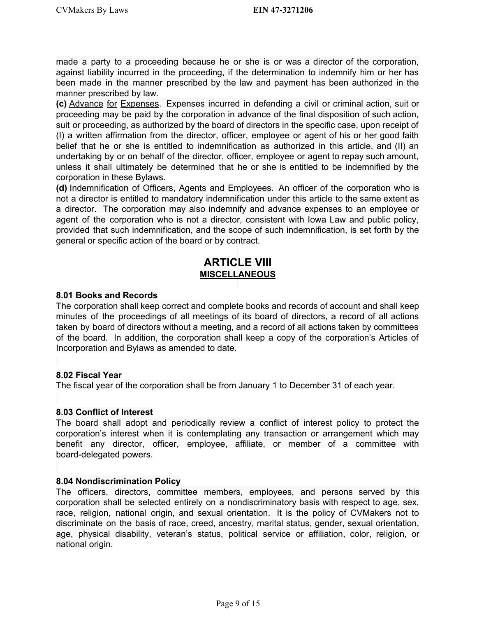made a party to a proceeding because he or she is or was a director of the corporation, against liability incurred in the proceeding, if the determination to indemnify him or her has been made in the manner prescribed by the law and payment has been authorized in the manner prescribed by law.

**(c)**Advance for Expenses. Expenses incurred in defending a civil or criminal action, suit or proceeding may be paid by the corporation in advance of the final disposition of such action, suit or proceeding, as authorized by the board of directors in the specific case, upon receipt of (I) a written affirmation from the director, officer, employee or agent of his or her good faith belief that he or she is entitled to indemnification as authorized in this article, and (II) an undertaking by or on behalf of the director, officer, employee or agent to repay such amount, unless it shall ultimately be determined that he or she is entitled to be indemnified by the corporation in these Bylaws.

**(d)** Indemnification of Officers, Agents and Employees. An officer of the corporation who is not a director is entitled to mandatory indemnification under this article to the same extent as a director. The corporation may also indemnify and advance expenses to an employee or agent of the corporation who is not a director, consistent with Iowa Law and public policy, provided that such indemnification, and the scope of such indemnification, is set forth by the general or specific action of the board or by contract.

# **ARTICLE VIII MISCELLANEOUS**

#### **8.01 Books and Records**

The corporation shall keep correct and complete books and records of account and shall keep minutes of the proceedings of all meetings of its board of directors, a record of all actions taken by board of directors without a meeting, and a record of all actions taken by committees of the board. In addition, the corporation shall keep a copy of the corporation's Articles of Incorporation and Bylaws as amended to date.

#### **8.02 Fiscal Year**

The fiscal year of the corporation shall be from January 1 to December 31 of each year.

#### **8.03 Conflict of Interest**

The board shall adopt and periodically review a conflict of interest policy to protect the corporation's interest when it is contemplating any transaction or arrangement which may benefit any director, officer, employee, affiliate, or member of a committee with board-delegated powers.

#### **8.04 Nondiscrimination Policy**

The officers, directors, committee members, employees, and persons served by this corporation shall be selected entirely on a nondiscriminatory basis with respect to age, sex, race, religion, national origin, and sexual orientation. It is the policy of CVMakers not to discriminate on the basis of race, creed, ancestry, marital status, gender, sexual orientation, age, physical disability, veteran's status, political service or affiliation, color, religion, or national origin.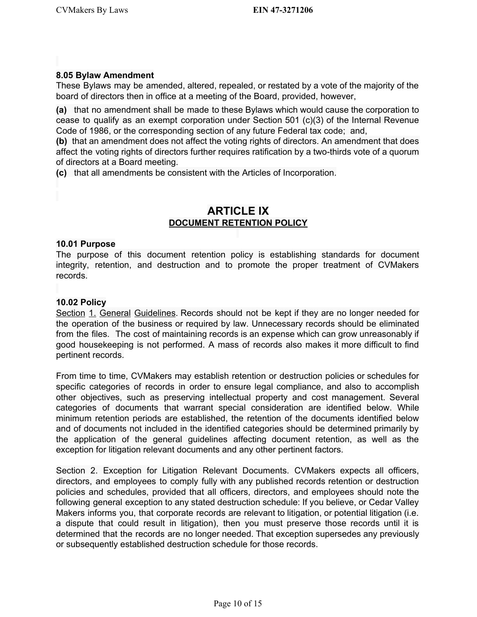### **8.05 Bylaw Amendment**

These Bylaws may be amended, altered, repealed, or restated by a vote of the majority of the board of directors then in office at a meeting of the Board, provided, however,

**(a)** that no amendment shall be made to these Bylaws which would cause the corporation to cease to qualify as an exempt corporation under Section 501 (c)(3) of the Internal Revenue Code of 1986, or the corresponding section of any future Federal tax code; and,

**(b)** that an amendment does not affect the voting rights of directors. An amendment that does affect the voting rights of directors further requires ratification by a two-thirds vote of a quorum of directors at a Board meeting.

**(c)** that all amendments be consistent with the Articles of Incorporation.

# **ARTICLE IX DOCUMENT RETENTION POLICY**

#### **10.01 Purpose**

The purpose of this document retention policy is establishing standards for document integrity, retention, and destruction and to promote the proper treatment of CVMakers records.

#### **10.02 Policy**

Section 1. General Guidelines. Records should not be kept if they are no longer needed for the operation of the business or required by law. Unnecessary records should be eliminated from the files. The cost of maintaining records is an expense which can grow unreasonably if good housekeeping is not performed. A mass of records also makes it more difficult to find pertinent records.

From time to time, CVMakers may establish retention or destruction policies or schedules for specific categories of records in order to ensure legal compliance, and also to accomplish other objectives, such as preserving intellectual property and cost management. Several categories of documents that warrant special consideration are identified below. While minimum retention periods are established, the retention of the documents identified below and of documents not included in the identified categories should be determined primarily by the application of the general guidelines affecting document retention, as well as the exception for litigation relevant documents and any other pertinent factors.

Section 2. Exception for Litigation Relevant Documents. CVMakers expects all officers, directors, and employees to comply fully with any published records retention or destruction policies and schedules, provided that all officers, directors, and employees should note the following general exception to any stated destruction schedule: If you believe, or Cedar Valley Makers informs you, that corporate records are relevant to litigation, or potential litigation (i.e. a dispute that could result in litigation), then you must preserve those records until it is determined that the records are no longer needed. That exception supersedes any previously or subsequently established destruction schedule for those records.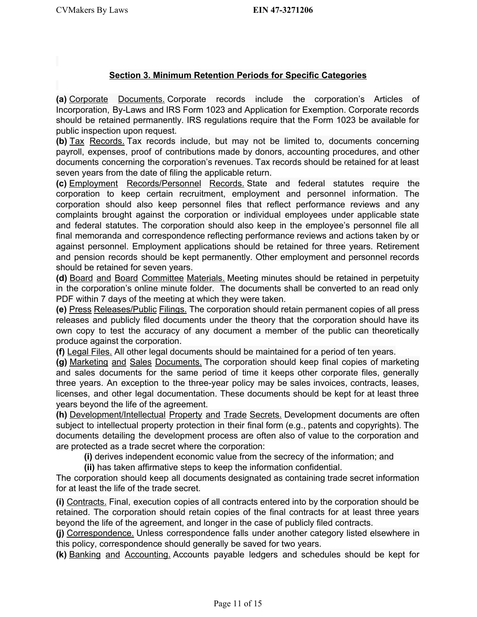### **Section 3. Minimum Retention Periods for Specific Categories**

**(a)**Corporate Documents. Corporate records include the corporation's Articles of Incorporation, By-Laws and IRS Form 1023 and Application for Exemption. Corporate records should be retained permanently. IRS regulations require that the Form 1023 be available for public inspection upon request.

**(b)**Tax Records. Tax records include, but may not be limited to, documents concerning payroll, expenses, proof of contributions made by donors, accounting procedures, and other documents concerning the corporation's revenues. Tax records should be retained for at least seven years from the date of filing the applicable return.

**(c)** Employment Records/Personnel Records. State and federal statutes require the corporation to keep certain recruitment, employment and personnel information. The corporation should also keep personnel files that reflect performance reviews and any complaints brought against the corporation or individual employees under applicable state and federal statutes. The corporation should also keep in the employee's personnel file all final memoranda and correspondence reflecting performance reviews and actions taken by or against personnel. Employment applications should be retained for three years. Retirement and pension records should be kept permanently. Other employment and personnel records should be retained for seven years.

**(d)**Board and Board Committee Materials. Meeting minutes should be retained in perpetuity in the corporation's online minute folder. The documents shall be converted to an read only PDF within 7 days of the meeting at which they were taken.

**(e)**Press Releases/Public Filings. The corporation should retain permanent copies of all press releases and publicly filed documents under the theory that the corporation should have its own copy to test the accuracy of any document a member of the public can theoretically produce against the corporation.

**(f)**Legal Files. All other legal documents should be maintained for a period of ten years.

**(g)**Marketing and Sales Documents. The corporation should keep final copies of marketing and sales documents for the same period of time it keeps other corporate files, generally three years. An exception to the three-year policy may be sales invoices, contracts, leases, licenses, and other legal documentation. These documents should be kept for at least three years beyond the life of the agreement.

**(h)**Development/Intellectual Property and Trade Secrets. Development documents are often subject to intellectual property protection in their final form (e.g., patents and copyrights). The documents detailing the development process are often also of value to the corporation and are protected as a trade secret where the corporation:

**(i)**derives independent economic value from the secrecy of the information; and

**(ii)**has taken affirmative steps to keep the information confidential.

The corporation should keep all documents designated as containing trade secret information for at least the life of the trade secret.

**(i)**Contracts. Final, execution copies of all contracts entered into by the corporation should be retained. The corporation should retain copies of the final contracts for at least three years beyond the life of the agreement, and longer in the case of publicly filed contracts.

**(j)**Correspondence. Unless correspondence falls under another category listed elsewhere in this policy, correspondence should generally be saved for two years.

**(k)**Banking and Accounting. Accounts payable ledgers and schedules should be kept for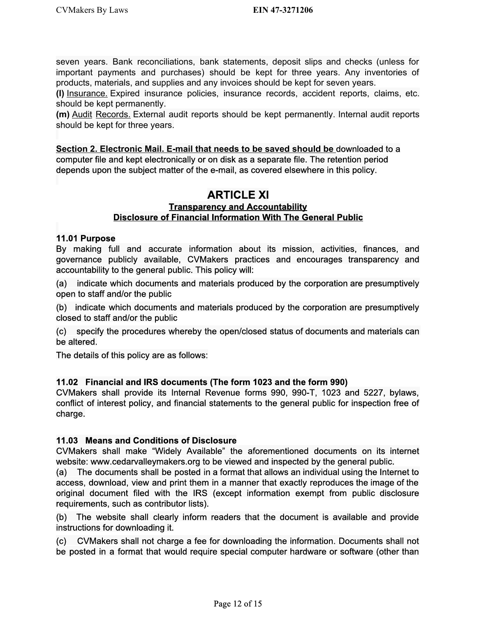seven years. Bank reconciliations, bank statements, deposit slips and checks (unless for important payments and purchases) should be kept for three years. Any inventories of products, materials, and supplies and any invoices should be kept for seven years.

**(l)**Insurance. Expired insurance policies, insurance records, accident reports, claims, etc. should be kept permanently.

**(m)**Audit Records. External audit reports should be kept permanently. Internal audit reports should be kept for three years.

**Section 2. Electronic Mail. Email that needs to be saved should be** downloaded to a computer file and kept electronically or on disk as a separate file. The retention period depends upon the subject matter of the e-mail, as covered elsewhere in this policy.

#### **ARTICLE XI Transparency and Accountability Disclosure of Financial Information With The General Public**

#### **11.01 Purpose**

By making full and accurate information about its mission, activities, finances, and governance publicly available, CVMakers practices and encourages transparency and accountability to the general public. This policy will:

(a) indicate which documents and materials produced by the corporation are presumptively open to staff and/or the public

(b) indicate which documents and materials produced by the corporation are presumptively closed to staff and/or the public

(c) specify the procedures whereby the open/closed status of documents and materials can be altered.

The details of this policy are as follows:

#### **11.02 Financial and IRS documents (The form 1023 and the form 990)**

CVMakers shall provide its Internal Revenue forms 990, 990-T, 1023 and 5227, bylaws, conflict of interest policy, and financial statements to the general public for inspection free of charge.

#### **11.03 Means and Conditions of Disclosure**

CVMakers shall make "Widely Available" the aforementioned documents on its internet website: www.cedarvalleymakers.org to be viewed and inspected by the general public.

(a) The documents shall be posted in a format that allows an individual using the Internet to access, download, view and print them in a manner that exactly reproduces the image of the original document filed with the IRS (except information exempt from public disclosure requirements, such as contributor lists).

(b) The website shall clearly inform readers that the document is available and provide instructions for downloading it.

(c) CVMakers shall not charge a fee for downloading the information. Documents shall not be posted in a format that would require special computer hardware or software (other than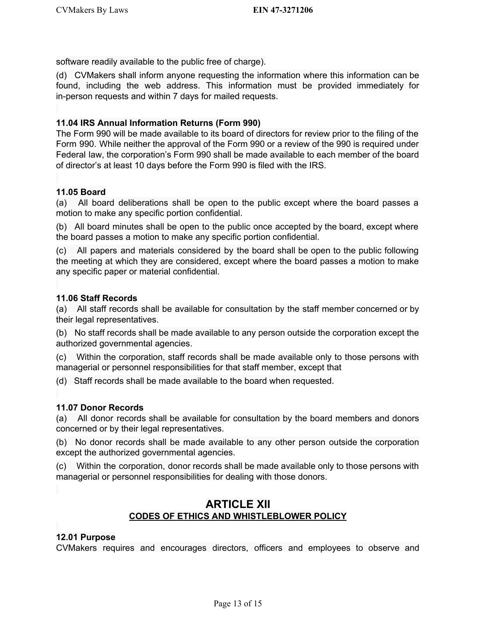software readily available to the public free of charge).

(d) CVMakers shall inform anyone requesting the information where this information can be found, including the web address. This information must be provided immediately for in-person requests and within 7 days for mailed requests.

#### **11.04 IRS Annual Information Returns (Form 990)**

The Form 990 will be made available to its board of directors for review prior to the filing of the Form 990. While neither the approval of the Form 990 or a review of the 990 is required under Federal law, the corporation's Form 990 shall be made available to each member of the board of director's at least 10 days before the Form 990 is filed with the IRS.

#### **11.05 Board**

(a) All board deliberations shall be open to the public except where the board passes a motion to make any specific portion confidential.

(b) All board minutes shall be open to the public once accepted by the board, except where the board passes a motion to make any specific portion confidential.

(c) All papers and materials considered by the board shall be open to the public following the meeting at which they are considered, except where the board passes a motion to make any specific paper or material confidential.

#### **11.06 Staff Records**

(a) All staff records shall be available for consultation by the staff member concerned or by their legal representatives.

(b) No staff records shall be made available to any person outside the corporation except the authorized governmental agencies.

(c) Within the corporation, staff records shall be made available only to those persons with managerial or personnel responsibilities for that staff member, except that

(d) Staff records shall be made available to the board when requested.

#### **11.07 Donor Records**

(a) All donor records shall be available for consultation by the board members and donors concerned or by their legal representatives.

(b) No donor records shall be made available to any other person outside the corporation except the authorized governmental agencies.

(c) Within the corporation, donor records shall be made available only to those persons with managerial or personnel responsibilities for dealing with those donors.

# **ARTICLE XII CODES OF ETHICS AND WHISTLEBLOWER POLICY**

#### **12.01 Purpose**

CVMakers requires and encourages directors, officers and employees to observe and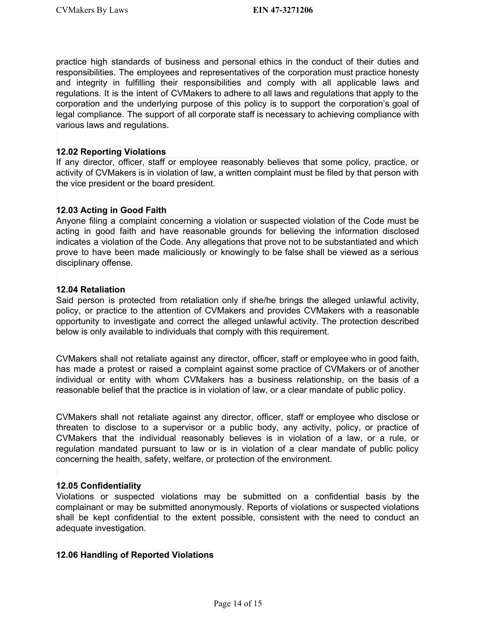practice high standards of business and personal ethics in the conduct of their duties and responsibilities. The employees and representatives of the corporation must practice honesty and integrity in fulfilling their responsibilities and comply with all applicable laws and regulations. It is the intent of CVMakers to adhere to all laws and regulations that apply to the corporation and the underlying purpose of this policy is to support the corporation's goal of legal compliance. The support of all corporate staff is necessary to achieving compliance with various laws and regulations.

#### **12.02 Reporting Violations**

If any director, officer, staff or employee reasonably believes that some policy, practice, or activity of CVMakers is in violation of law, a written complaint must be filed by that person with the vice president or the board president.

#### **12.03 Acting in Good Faith**

Anyone filing a complaint concerning a violation or suspected violation of the Code must be acting in good faith and have reasonable grounds for believing the information disclosed indicates a violation of the Code. Any allegations that prove not to be substantiated and which prove to have been made maliciously or knowingly to be false shall be viewed as a serious disciplinary offense.

#### **12.04 Retaliation**

Said person is protected from retaliation only if she/he brings the alleged unlawful activity, policy, or practice to the attention of CVMakers and provides CVMakers with a reasonable opportunity to investigate and correct the alleged unlawful activity. The protection described below is only available to individuals that comply with this requirement.

CVMakers shall not retaliate against any director, officer, staff or employee who in good faith, has made a protest or raised a complaint against some practice of CVMakers or of another individual or entity with whom CVMakers has a business relationship, on the basis of a reasonable belief that the practice is in violation of law, or a clear mandate of public policy.

CVMakers shall not retaliate against any director, officer, staff or employee who disclose or threaten to disclose to a supervisor or a public body, any activity, policy, or practice of CVMakers that the individual reasonably believes is in violation of a law, or a rule, or regulation mandated pursuant to law or is in violation of a clear mandate of public policy concerning the health, safety, welfare, or protection of the environment.

#### **12.05 Confidentiality**

Violations or suspected violations may be submitted on a confidential basis by the complainant or may be submitted anonymously. Reports of violations or suspected violations shall be kept confidential to the extent possible, consistent with the need to conduct an adequate investigation.

#### **12.06 Handling of Reported Violations**